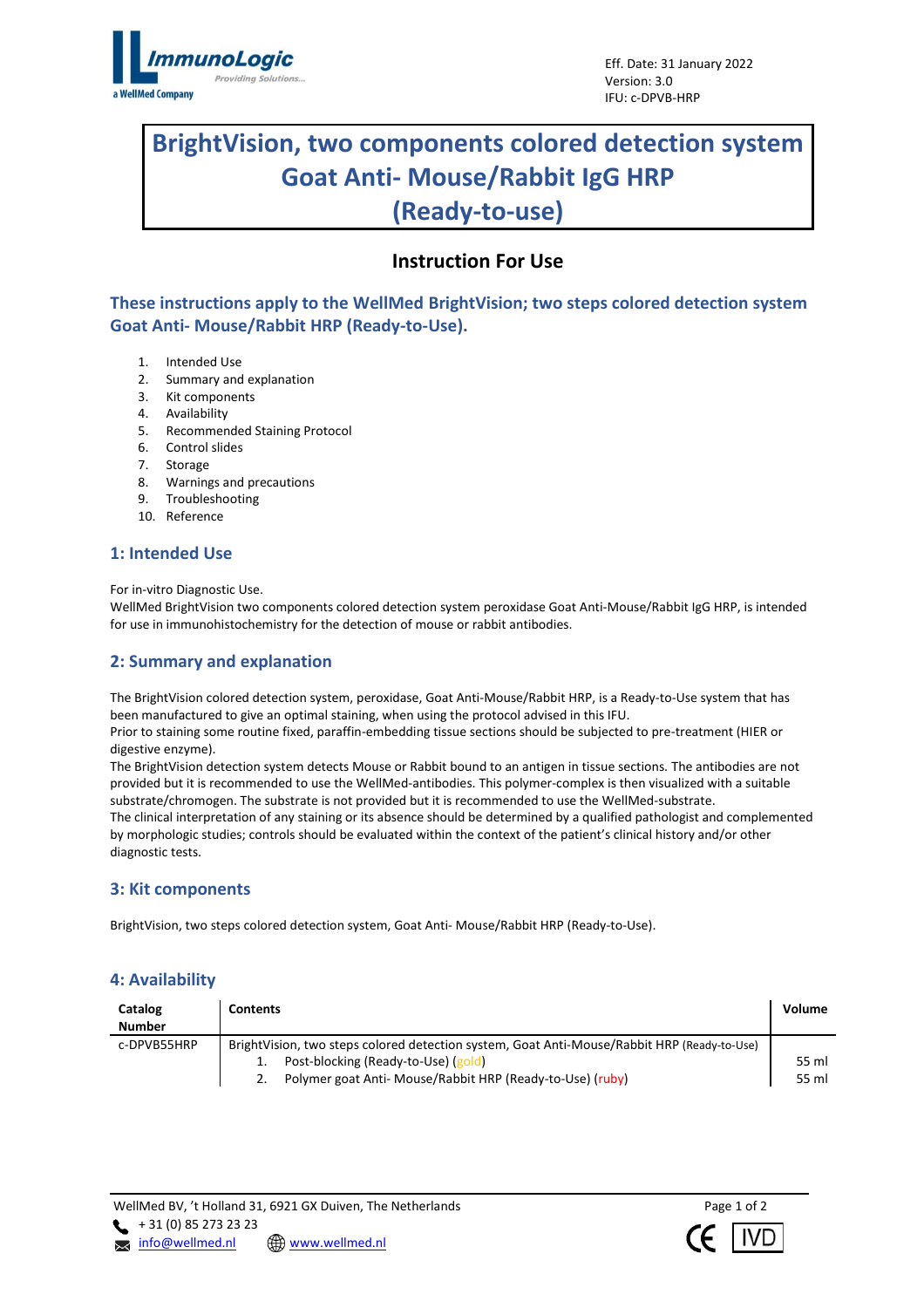

# **BrightVision, two components colored detection system Goat Anti- Mouse/Rabbit IgG HRP (Ready-to-use)**

## **Instruction For Use**

**These instructions apply to the WellMed BrightVision; two steps colored detection system Goat Anti- Mouse/Rabbit HRP (Ready-to-Use).**

- 1. Intended Use
- 2. Summary and explanation
- 3. Kit components
- 4. Availability
- 5. Recommended Staining Protocol
- 6. Control slides
- 7. Storage
- 8. Warnings and precautions
- 9. Troubleshooting
- 10. Reference

## **1: Intended Use**

For in-vitro Diagnostic Use.

WellMed BrightVision two components colored detection system peroxidase Goat Anti-Mouse/Rabbit IgG HRP, is intended for use in immunohistochemistry for the detection of mouse or rabbit antibodies.

## **2: Summary and explanation**

The BrightVision colored detection system, peroxidase, Goat Anti-Mouse/Rabbit HRP, is a Ready-to-Use system that has been manufactured to give an optimal staining, when using the protocol advised in this IFU.

Prior to staining some routine fixed, paraffin-embedding tissue sections should be subjected to pre-treatment (HIER or digestive enzyme).

The BrightVision detection system detects Mouse or Rabbit bound to an antigen in tissue sections. The antibodies are not provided but it is recommended to use the WellMed-antibodies. This polymer-complex is then visualized with a suitable substrate/chromogen. The substrate is not provided but it is recommended to use the WellMed-substrate. The clinical interpretation of any staining or its absence should be determined by a qualified pathologist and complemented by morphologic studies; controls should be evaluated within the context of the patient's clinical history and/or other

diagnostic tests.

## **3: Kit components**

BrightVision, two steps colored detection system, Goat Anti- Mouse/Rabbit HRP (Ready-to-Use).

## **4: Availability**

| Catalog       | <b>Contents</b>                                                                             | Volume |
|---------------|---------------------------------------------------------------------------------------------|--------|
| <b>Number</b> |                                                                                             |        |
| c-DPVB55HRP   | BrightVision, two steps colored detection system, Goat Anti-Mouse/Rabbit HRP (Ready-to-Use) |        |
|               | Post-blocking (Ready-to-Use) (gold)                                                         | 55 ml  |
|               | Polymer goat Anti- Mouse/Rabbit HRP (Ready-to-Use) (ruby)                                   | 55 ml  |